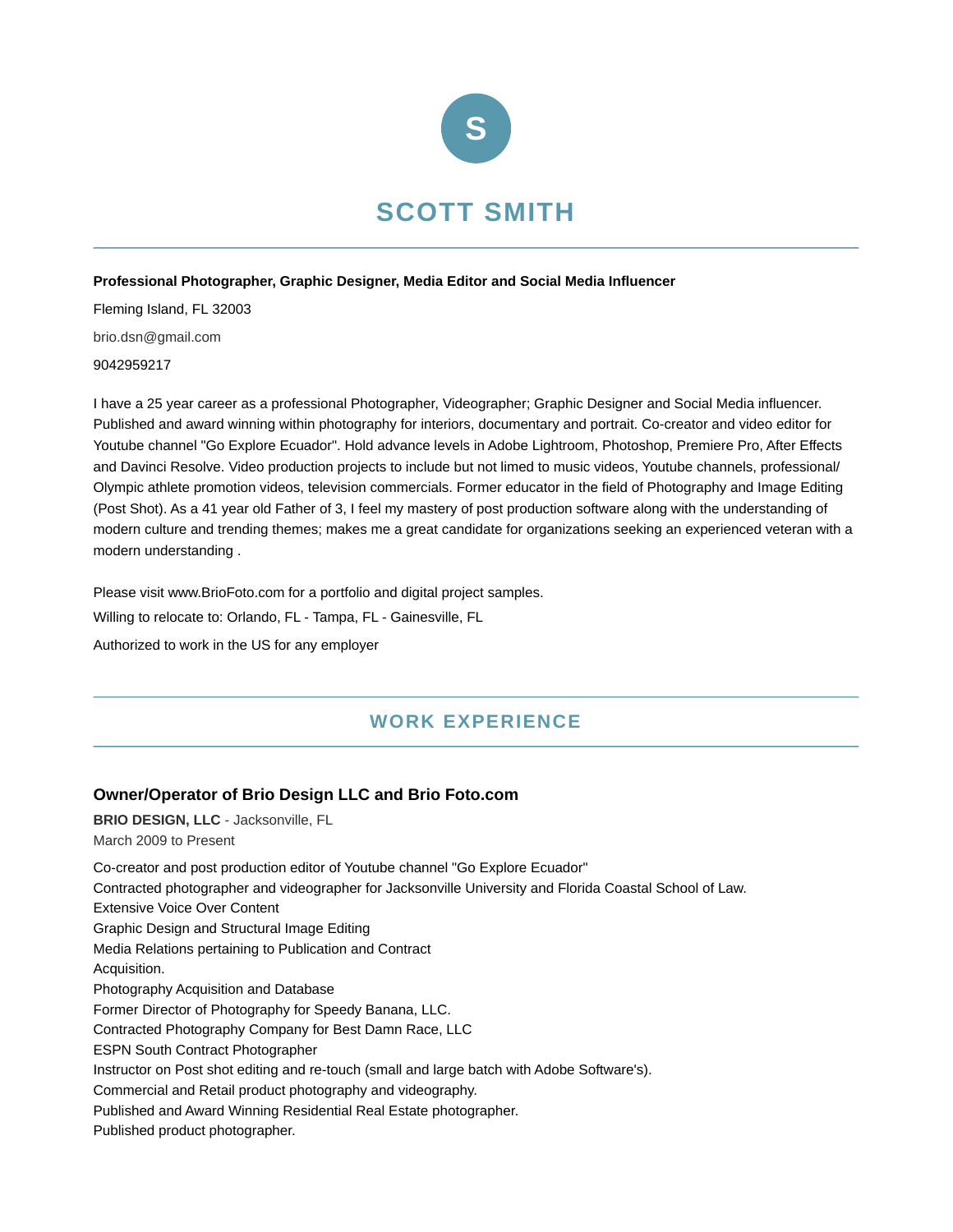

#### **Professional Photographer, Graphic Designer, Media Editor and Social Media Influencer**

Fleming Island, FL 32003 brio.dsn@gmail.com 9042959217

I have a 25 year career as a professional Photographer, Videographer; Graphic Designer and Social Media influencer. Published and award winning within photography for interiors, documentary and portrait. Co-creator and video editor for Youtube channel "Go Explore Ecuador". Hold advance levels in Adobe Lightroom, Photoshop, Premiere Pro, After Effects and Davinci Resolve. Video production projects to include but not limed to music videos, Youtube channels, professional/ Olympic athlete promotion videos, television commercials. Former educator in the field of Photography and Image Editing (Post Shot). As a 41 year old Father of 3, I feel my mastery of post production software along with the understanding of modern culture and trending themes; makes me a great candidate for organizations seeking an experienced veteran with a modern understanding .

Please visit www.BrioFoto.com for a portfolio and digital project samples.

Willing to relocate to: Orlando, FL - Tampa, FL - Gainesville, FL

Authorized to work in the US for any employer

# **WORK EXPERIENCE**

## **Owner/Operator of Brio Design LLC and Brio Foto.com**

**BRIO DESIGN, LLC** - Jacksonville, FL March 2009 to Present Co-creator and post production editor of Youtube channel "Go Explore Ecuador" Contracted photographer and videographer for Jacksonville University and Florida Coastal School of Law. Extensive Voice Over Content Graphic Design and Structural Image Editing Media Relations pertaining to Publication and Contract Acquisition. Photography Acquisition and Database Former Director of Photography for Speedy Banana, LLC. Contracted Photography Company for Best Damn Race, LLC ESPN South Contract Photographer Instructor on Post shot editing and re-touch (small and large batch with Adobe Software's). Commercial and Retail product photography and videography. Published and Award Winning Residential Real Estate photographer. Published product photographer.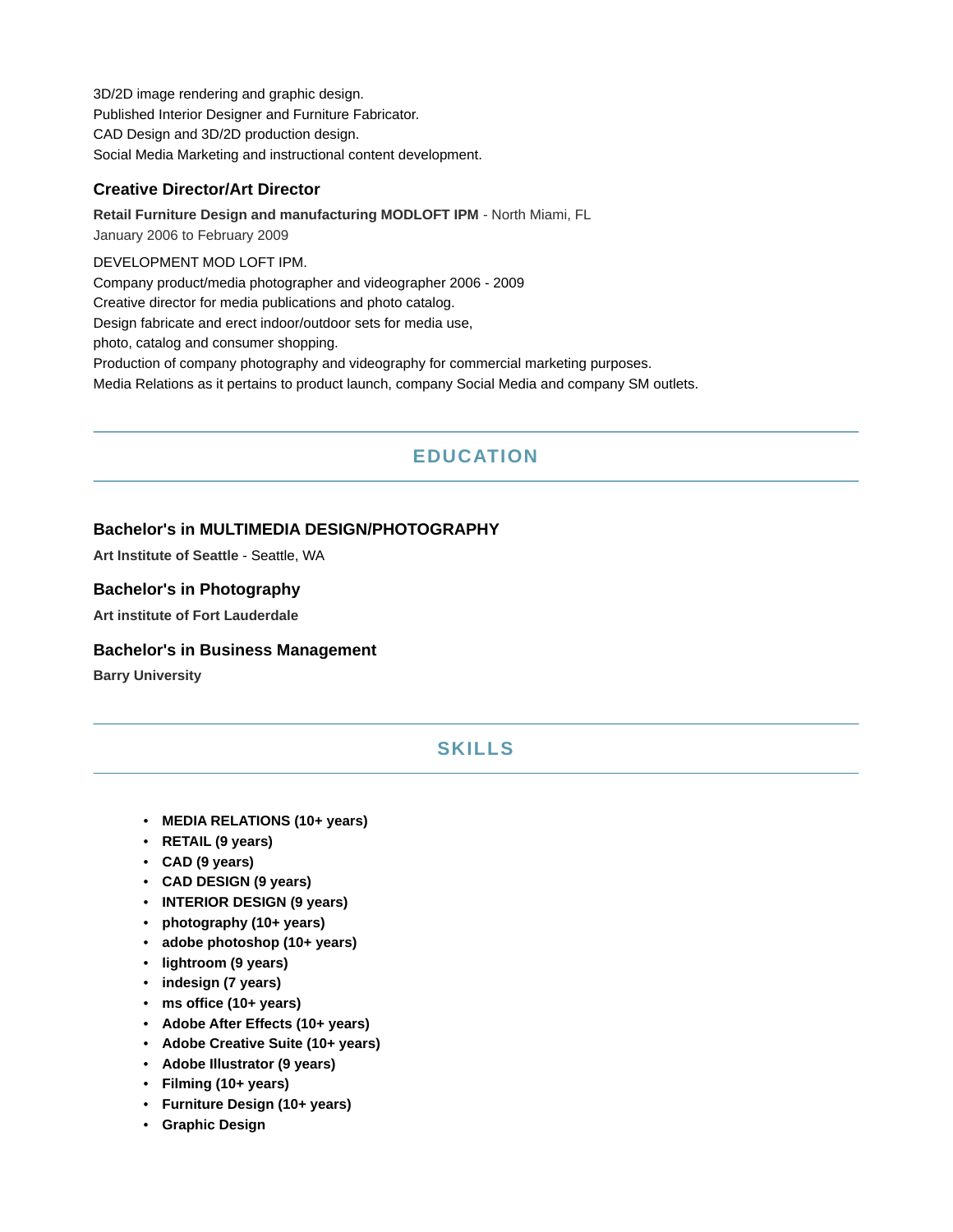3D/2D image rendering and graphic design. Published Interior Designer and Furniture Fabricator. CAD Design and 3D/2D production design. Social Media Marketing and instructional content development.

## **Creative Director/Art Director**

**Retail Furniture Design and manufacturing MODLOFT IPM** - North Miami, FL January 2006 to February 2009 DEVELOPMENT MOD LOFT IPM. Company product/media photographer and videographer 2006 - 2009 Creative director for media publications and photo catalog.

Design fabricate and erect indoor/outdoor sets for media use,

photo, catalog and consumer shopping.

Production of company photography and videography for commercial marketing purposes.

Media Relations as it pertains to product launch, company Social Media and company SM outlets.

# **EDUCATION**

#### **Bachelor's in MULTIMEDIA DESIGN/PHOTOGRAPHY**

**Art Institute of Seattle** - Seattle, WA

#### **Bachelor's in Photography**

**Art institute of Fort Lauderdale**

#### **Bachelor's in Business Management**

**Barry University**

# **SKILLS**

- **MEDIA RELATIONS (10+ years)**
- **RETAIL (9 years)**
- **CAD (9 years)**
- **CAD DESIGN (9 years)**
- **INTERIOR DESIGN (9 years)**
- **photography (10+ years)**
- **adobe photoshop (10+ years)**
- **lightroom (9 years)**
- **indesign (7 years)**
- **ms office (10+ years)**
- **Adobe After Effects (10+ years)**
- **Adobe Creative Suite (10+ years)**
- **Adobe Illustrator (9 years)**
- **Filming (10+ years)**
- **Furniture Design (10+ years)**
- **Graphic Design**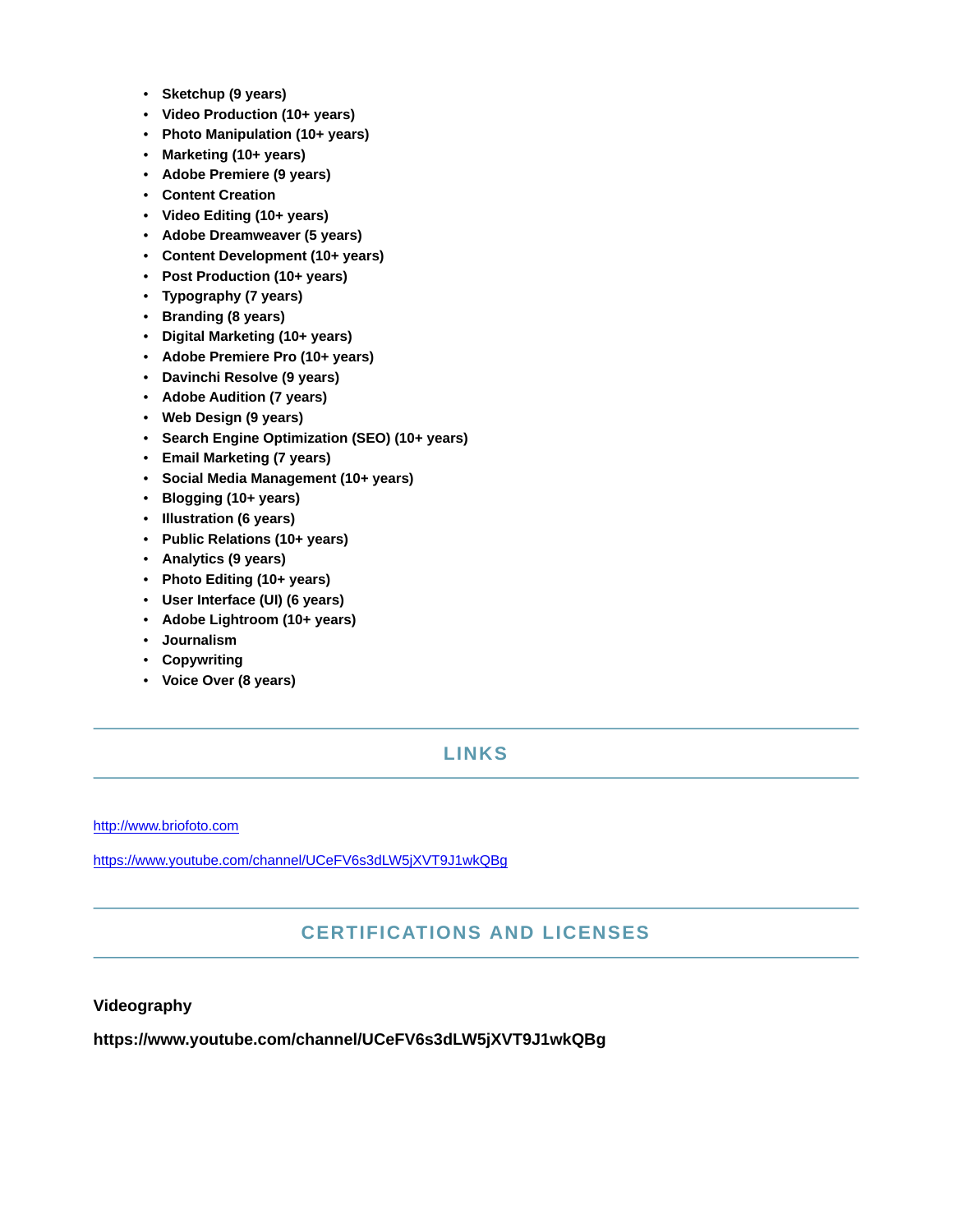- **Sketchup (9 years)**
- **Video Production (10+ years)**
- **Photo Manipulation (10+ years)**
- **Marketing (10+ years)**
- **Adobe Premiere (9 years)**
- **Content Creation**
- **Video Editing (10+ years)**
- **Adobe Dreamweaver (5 years)**
- **Content Development (10+ years)**
- **Post Production (10+ years)**
- **Typography (7 years)**
- **Branding (8 years)**
- **Digital Marketing (10+ years)**
- **Adobe Premiere Pro (10+ years)**
- **Davinchi Resolve (9 years)**
- **Adobe Audition (7 years)**
- **Web Design (9 years)**
- **Search Engine Optimization (SEO) (10+ years)**
- **Email Marketing (7 years)**
- **Social Media Management (10+ years)**
- **Blogging (10+ years)**
- **Illustration (6 years)**
- **Public Relations (10+ years)**
- **Analytics (9 years)**
- **Photo Editing (10+ years)**
- **User Interface (UI) (6 years)**
- **Adobe Lightroom (10+ years)**
- **Journalism**
- **Copywriting**
- **Voice Over (8 years)**

## **LINKS**

<http://www.briofoto.com>

<https://www.youtube.com/channel/UCeFV6s3dLW5jXVT9J1wkQBg>

## **CERTIFICATIONS AND LICENSES**

#### **Videography**

**https://www.youtube.com/channel/UCeFV6s3dLW5jXVT9J1wkQBg**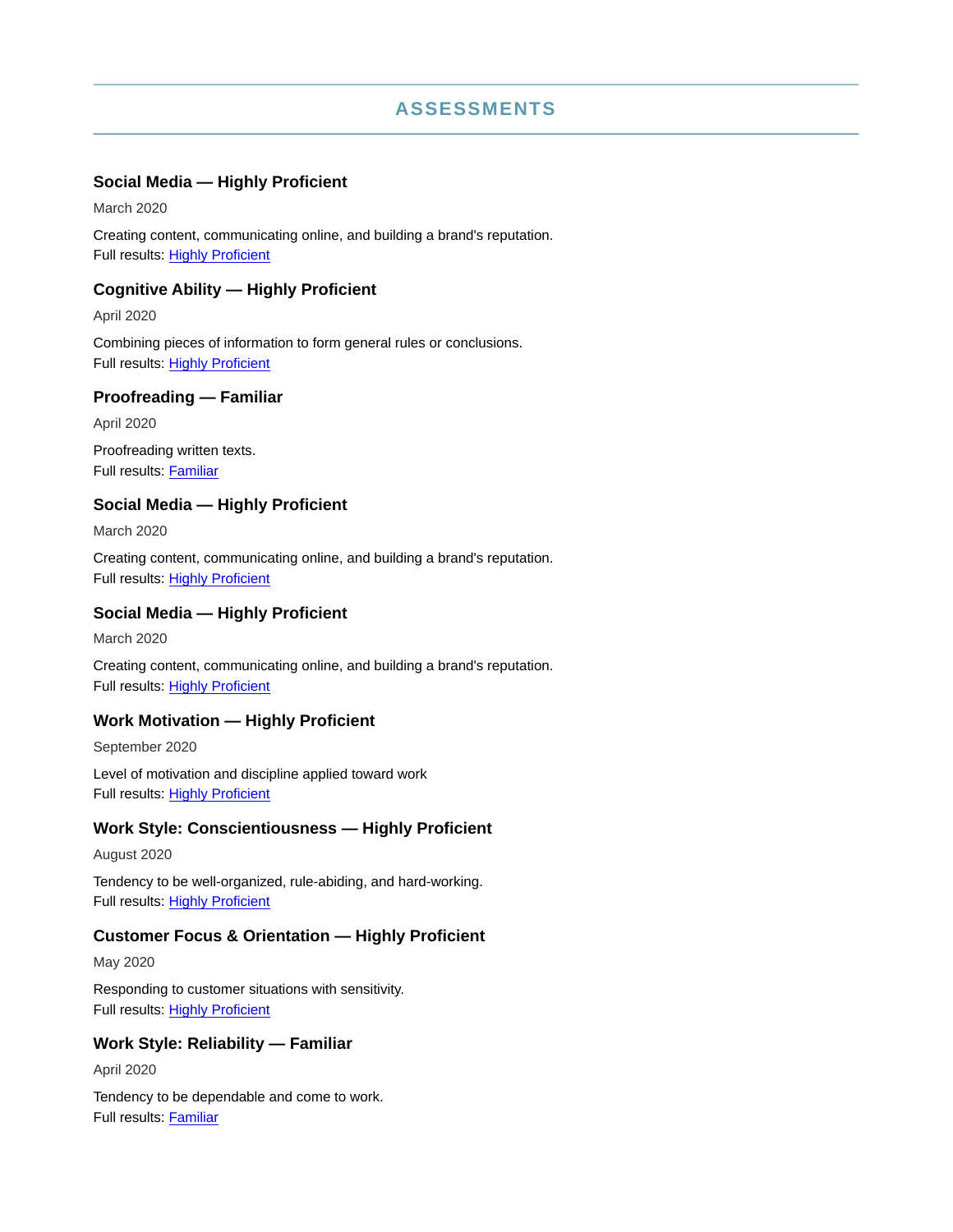## **ASSESSMENTS**

#### **Social Media — Highly Proficient**

March 2020

Creating content, communicating online, and building a brand's reputation. Full results: [Highly Proficient](https://share.indeedassessments.com/attempts/1e24da54139ed3e15e9398d79867f237)

#### **Cognitive Ability — Highly Proficient**

April 2020

Combining pieces of information to form general rules or conclusions. Full results: [Highly Proficient](https://share.indeedassessments.com/attempts/7fef45c08665cb5e6a6c4d49ac43f9e5eed53dc074545cb7)

#### **Proofreading — Familiar**

April 2020 Proofreading written texts. Full results: [Familiar](https://share.indeedassessments.com/attempts/a9f685dbb9c5df4e177d56cdc86462a1eed53dc074545cb7)

#### **Social Media — Highly Proficient**

March 2020

Creating content, communicating online, and building a brand's reputation. Full results: [Highly Proficient](https://share.indeedassessments.com/share_to_profile/eaad72b58b9da8c6df7daf6aaa3a844d)

#### **Social Media — Highly Proficient**

March 2020

Creating content, communicating online, and building a brand's reputation. Full results: [Highly Proficient](https://share.indeedassessments.com/attempts/1e24da54139ed3e15e9398d79867f237)

#### **Work Motivation — Highly Proficient**

September 2020 Level of motivation and discipline applied toward work Full results: [Highly Proficient](https://share.indeedassessments.com/attempts/a6dc64f358ed9f04305284c9d4a27b57eed53dc074545cb7)

## **Work Style: Conscientiousness — Highly Proficient**

August 2020

Tendency to be well-organized, rule-abiding, and hard-working. Full results: [Highly Proficient](https://share.indeedassessments.com/attempts/04b5594487088c398d6c796b2b583ff3eed53dc074545cb7)

## **Customer Focus & Orientation — Highly Proficient**

May 2020

Responding to customer situations with sensitivity. Full results: [Highly Proficient](https://share.indeedassessments.com/attempts/a8858b808746fa1803b07e0f7cd6acd6eed53dc074545cb7)

## **Work Style: Reliability — Familiar**

April 2020

Tendency to be dependable and come to work. Full results: [Familiar](https://share.indeedassessments.com/attempts/ee7a2e55f10e12dc11e88ed04aa78269eed53dc074545cb7)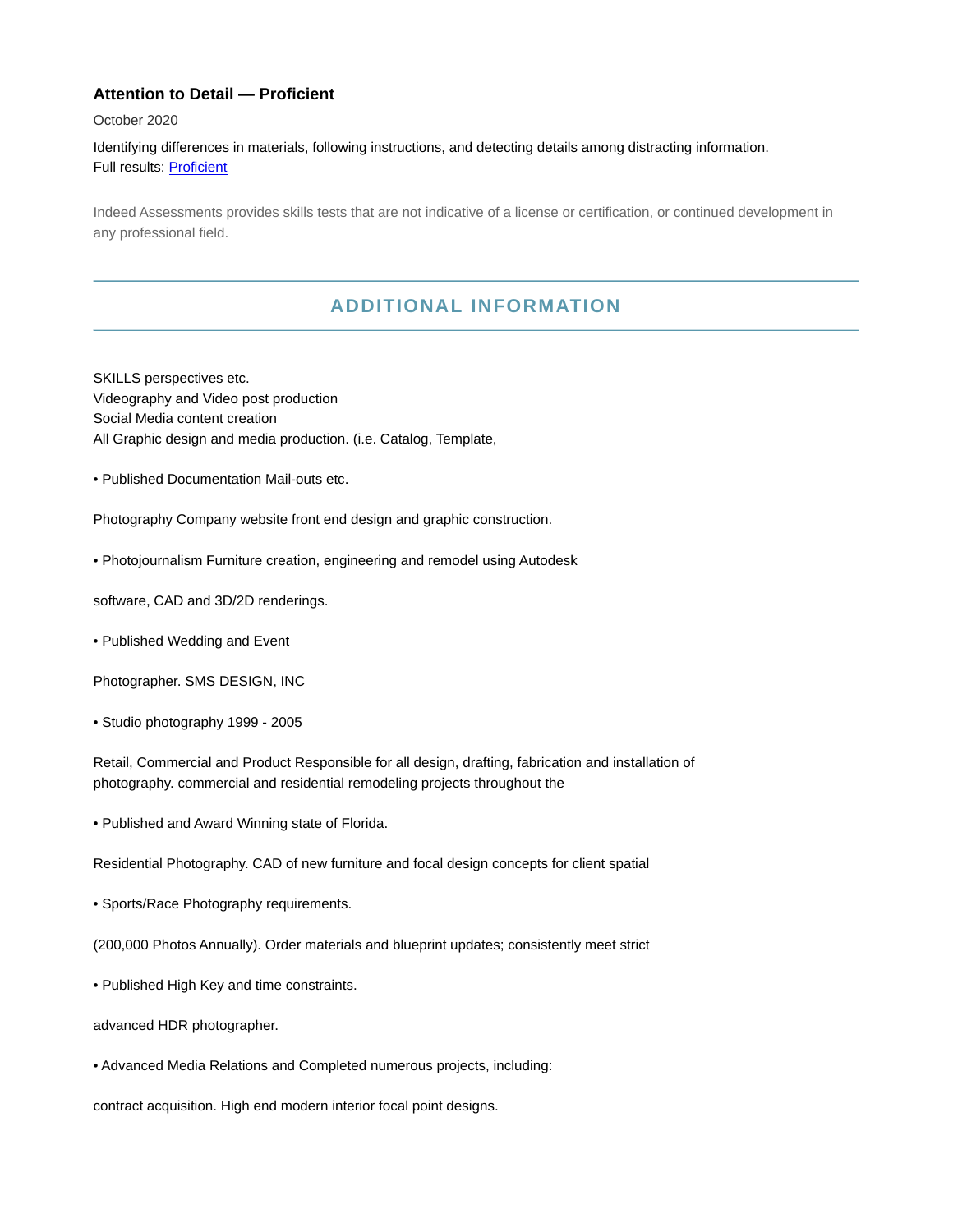## **Attention to Detail — Proficient**

October 2020

Identifying differences in materials, following instructions, and detecting details among distracting information. Full results: [Proficient](https://share.indeedassessments.com/attempts/9027b5675fd99d845427fd47195a71fbeed53dc074545cb7)

Indeed Assessments provides skills tests that are not indicative of a license or certification, or continued development in any professional field.

## **ADDITIONAL INFORMATION**

SKILLS perspectives etc. Videography and Video post production Social Media content creation All Graphic design and media production. (i.e. Catalog, Template,

• Published Documentation Mail-outs etc.

Photography Company website front end design and graphic construction.

• Photojournalism Furniture creation, engineering and remodel using Autodesk

software, CAD and 3D/2D renderings.

• Published Wedding and Event

Photographer. SMS DESIGN, INC

• Studio photography 1999 - 2005

Retail, Commercial and Product Responsible for all design, drafting, fabrication and installation of photography. commercial and residential remodeling projects throughout the

• Published and Award Winning state of Florida.

Residential Photography. CAD of new furniture and focal design concepts for client spatial

• Sports/Race Photography requirements.

(200,000 Photos Annually). Order materials and blueprint updates; consistently meet strict

• Published High Key and time constraints.

advanced HDR photographer.

• Advanced Media Relations and Completed numerous projects, including:

contract acquisition. High end modern interior focal point designs.